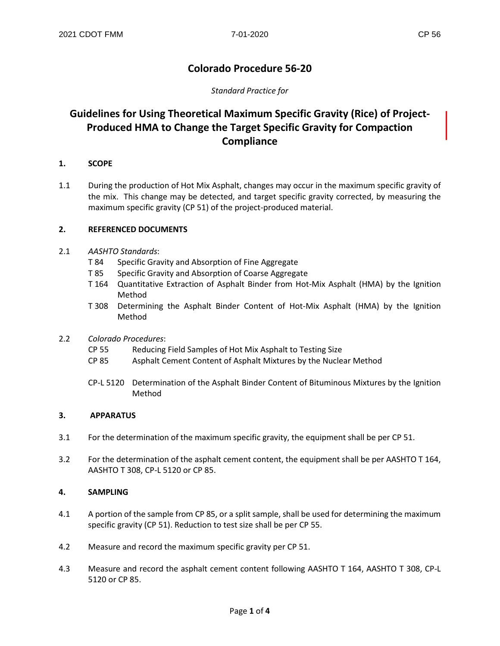## **Colorado Procedure 56-20**

### *Standard Practice for*

# **Guidelines for Using Theoretical Maximum Specific Gravity (Rice) of Project-Produced HMA to Change the Target Specific Gravity for Compaction Compliance**

#### **1. SCOPE**

1.1 During the production of Hot Mix Asphalt, changes may occur in the maximum specific gravity of the mix. This change may be detected, and target specific gravity corrected, by measuring the maximum specific gravity (CP 51) of the project-produced material.

#### **2. REFERENCED DOCUMENTS**

- 2.1 *AASHTO Standards*:
	- T 84 Specific Gravity and Absorption of Fine Aggregate
	- T 85 Specific Gravity and Absorption of Coarse Aggregate
	- T 164 Quantitative Extraction of Asphalt Binder from Hot-Mix Asphalt (HMA) by the Ignition Method
	- T 308 Determining the Asphalt Binder Content of Hot-Mix Asphalt (HMA) by the Ignition Method
- 2.2 *Colorado Procedures*:
	- CP 55 Reducing Field Samples of Hot Mix Asphalt to Testing Size
	- CP 85 Asphalt Cement Content of Asphalt Mixtures by the Nuclear Method
	- CP-L 5120 Determination of the Asphalt Binder Content of Bituminous Mixtures by the Ignition Method

#### **3. APPARATUS**

- 3.1 For the determination of the maximum specific gravity, the equipment shall be per CP 51.
- 3.2 For the determination of the asphalt cement content, the equipment shall be per AASHTO T 164, AASHTO T 308, CP-L 5120 or CP 85.

## **4. SAMPLING**

- 4.1 A portion of the sample from CP 85, or a split sample, shall be used for determining the maximum specific gravity (CP 51). Reduction to test size shall be per CP 55.
- 4.2 Measure and record the maximum specific gravity per CP 51.
- 4.3 Measure and record the asphalt cement content following AASHTO T 164, AASHTO T 308, CP-L 5120 or CP 85.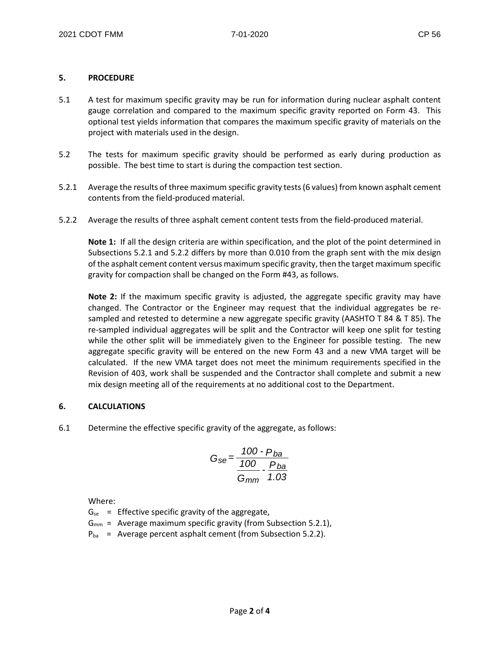#### **5. PROCEDURE**

- 5.1 A test for maximum specific gravity may be run for information during nuclear asphalt content gauge correlation and compared to the maximum specific gravity reported on Form 43. This optional test yields information that compares the maximum specific gravity of materials on the project with materials used in the design.
- 5.2 The tests for maximum specific gravity should be performed as early during production as possible. The best time to start is during the compaction test section.
- 5.2.1 Average the results of three maximum specific gravity tests (6 values) from known asphalt cement contents from the field-produced material.
- 5.2.2 Average the results of three asphalt cement content tests from the field-produced material.

**Note 1:** If all the design criteria are within specification, and the plot of the point determined in Subsections 5.2.1 and 5.2.2 differs by more than 0.010 from the graph sent with the mix design of the asphalt cement content versus maximum specific gravity, then the target maximum specific gravity for compaction shall be changed on the Form #43, as follows.

**Note 2:** If the maximum specific gravity is adjusted, the aggregate specific gravity may have changed. The Contractor or the Engineer may request that the individual aggregates be resampled and retested to determine a new aggregate specific gravity (AASHTO T 84 & T 85). The re-sampled individual aggregates will be split and the Contractor will keep one split for testing while the other split will be immediately given to the Engineer for possible testing. The new aggregate specific gravity will be entered on the new Form 43 and a new VMA target will be calculated. If the new VMA target does not meet the minimum requirements specified in the Revision of 403, work shall be suspended and the Contractor shall complete and submit a new mix design meeting all of the requirements at no additional cost to the Department.

#### **6. CALCULATIONS**

6.1 Determine the effective specific gravity of the aggregate, as follows:

$$
G_{se} = \frac{100 - P_{ba}}{100 - P_{ba}} \cdot \frac{P_{ba}}{1.03}
$$

Where:

 $G_{se}$  = Effective specific gravity of the aggregate,

- $G_{mm}$  = Average maximum specific gravity (from Subsection 5.2.1),
- $P_{ba}$  = Average percent asphalt cement (from Subsection 5.2.2).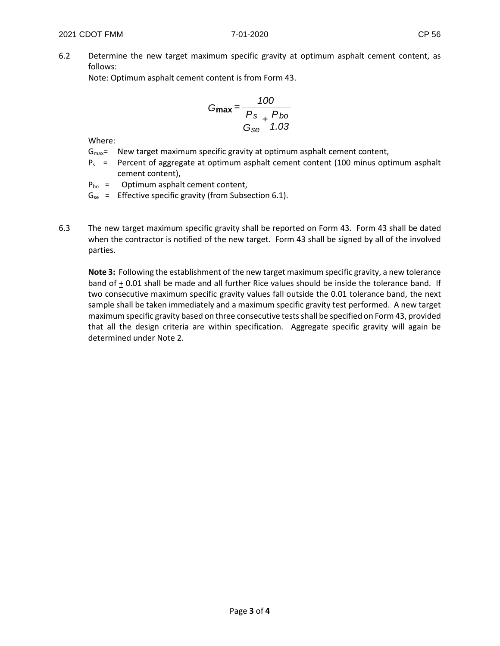6.2 Determine the new target maximum specific gravity at optimum asphalt cement content, as follows:

Note: Optimum asphalt cement content is from Form 43.

$$
G_{\text{max}} = \frac{100}{\frac{P_s}{G_{\text{se}}} + \frac{P_{bo}}{1.03}}
$$

Where:

- $G_{\text{max}}$  New target maximum specific gravity at optimum asphalt cement content,
- $P_s$  = Percent of aggregate at optimum asphalt cement content (100 minus optimum asphalt cement content),
- $P_{bo}$  = Optimum asphalt cement content,
- $G_{se}$  = Effective specific gravity (from Subsection 6.1).
- 6.3 The new target maximum specific gravity shall be reported on Form 43. Form 43 shall be dated when the contractor is notified of the new target. Form 43 shall be signed by all of the involved parties.

**Note 3:** Following the establishment of the new target maximum specific gravity, a new tolerance band of + 0.01 shall be made and all further Rice values should be inside the tolerance band. If two consecutive maximum specific gravity values fall outside the 0.01 tolerance band, the next sample shall be taken immediately and a maximum specific gravity test performed. A new target maximum specific gravity based on three consecutive tests shall be specified on Form 43, provided that all the design criteria are within specification. Aggregate specific gravity will again be determined under Note 2.